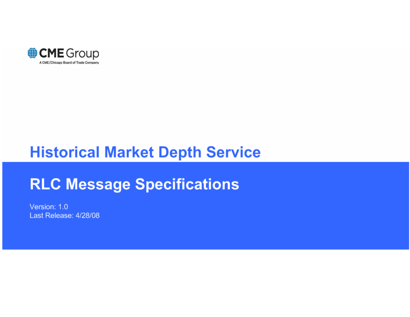

# **Historical Market Depth Service**

# **RLC Message Specifications**

Version: 1.0 Last Release: 4/28/08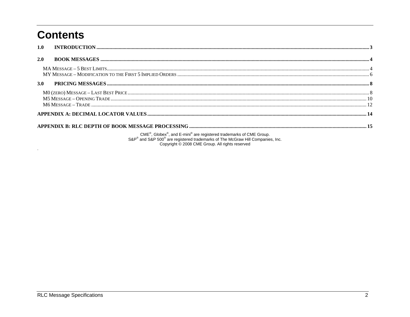# **Contents**

 $\sim$ 

| 1.0 | $\bf INTRODUCTION \,\,{} \dots \,\,{} \dots \,\,{} \dots \,\,{} \dots \,\,{} \dots \,\,{} \dots \,\,{} \dots \,\,{} \dots \,\,{} \dots \,\,{} \dots \,\,{} \dots \,\,{} \dots \,\,{} \dots \,\,{} \dots \,\,{} \dots \,\,{} \dots \,\,{} \dots \,\,{} \dots \,\,{} \dots \,\,{} \dots \,\,{} \dots \,\,{} \dots \,\,{} \dots \,\,{} \dots \,\,{} \dots \,\,{} \dots \,\,{} \dots \,\,{} \dots \,\,{} \dots \,\,{} \dots \,\,{} \dots \,\,{} \dots \,\,{} \dots \,\,{} \dots \,\,{} \dots \,\,{} \dots$ |  |  |  |  |
|-----|--------------------------------------------------------------------------------------------------------------------------------------------------------------------------------------------------------------------------------------------------------------------------------------------------------------------------------------------------------------------------------------------------------------------------------------------------------------------------------------------------------|--|--|--|--|
| 2.0 |                                                                                                                                                                                                                                                                                                                                                                                                                                                                                                        |  |  |  |  |
|     |                                                                                                                                                                                                                                                                                                                                                                                                                                                                                                        |  |  |  |  |
| 3.0 |                                                                                                                                                                                                                                                                                                                                                                                                                                                                                                        |  |  |  |  |
|     |                                                                                                                                                                                                                                                                                                                                                                                                                                                                                                        |  |  |  |  |
|     |                                                                                                                                                                                                                                                                                                                                                                                                                                                                                                        |  |  |  |  |
|     |                                                                                                                                                                                                                                                                                                                                                                                                                                                                                                        |  |  |  |  |
|     | CME®, Globex®, and E-mini® are registered trademarks of CME Group.<br>S&P® and S&P 500® are registered trademarks of The McGraw Hill Companies, Inc.                                                                                                                                                                                                                                                                                                                                                   |  |  |  |  |

500° are registered trademarks of The McGraw Hill Companies, Inc.<br>Copyright © 2008 CME Group. All rights reserved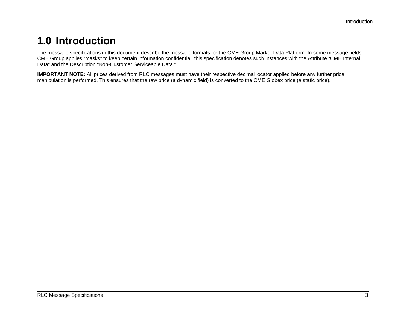# <span id="page-2-0"></span>**1.0 Introduction**

The message specifications in this document describe the message formats for the CME Group Market Data Platform. In some message fields CME Group applies "masks" to keep certain information confidential; this specification denotes such instances with the Attribute "CME Internal Data" and the Description "Non-Customer Serviceable Data."

**IMPORTANT NOTE:** All prices derived from RLC messages must have their respective decimal locator applied before any further price manipulation is performed. This ensures that the raw price (a dynamic field) is converted to the CME Globex price (a static price).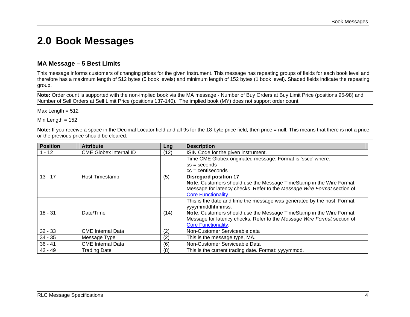### <span id="page-3-0"></span>**2.0 Book Messages**

### **MA Message – 5 Best Limits**

This message informs customers of changing prices for the given instrument. This message has repeating groups of fields for each book level and therefore has a maximum length of 512 bytes (5 book levels) and minimum length of 152 bytes (1 book level). Shaded fields indicate the repeating group.

**Note:** Order count is supported with the non-implied book via the MA message - Number of Buy Orders at Buy Limit Price (positions 95-98) and Number of Sell Orders at Sell Limit Price (positions 137-140). The implied book (MY) does not support order count.

Max Length  $= 512$ 

Min Length  $= 152$ 

**Note:** If you receive a space in the Decimal Locator field and all 9s for the 18-byte price field, then price = null. This means that there is not a price or the previous price should be cleared.

| <b>Position</b> | <b>Attribute</b>              | Lng  | <b>Description</b>                                                                                                                                                                                                                                                         |
|-----------------|-------------------------------|------|----------------------------------------------------------------------------------------------------------------------------------------------------------------------------------------------------------------------------------------------------------------------------|
| $1 - 12$        | <b>CME Globex internal ID</b> | (12) | ISIN Code for the given instrument.                                                                                                                                                                                                                                        |
| $13 - 17$       | Host Timestamp                | (5)  | Time CME Globex originated message. Format is 'sscc' where:<br>$ss =$ seconds<br>$cc =$ centiseconds<br><b>Disregard position 17</b>                                                                                                                                       |
|                 |                               |      | Note: Customers should use the Message TimeStamp in the Wire Format<br>Message for latency checks. Refer to the Message Wire Format section of<br><b>Core Functionality</b>                                                                                                |
| $18 - 31$       | Date/Time                     | (14) | This is the date and time the message was generated by the host. Format:<br>yyyymmddhhmmss.<br>Note: Customers should use the Message TimeStamp in the Wire Format<br>Message for latency checks. Refer to the Message Wire Format section of<br><b>Core Functionality</b> |
| $32 - 33$       | <b>CME</b> Internal Data      | (2)  | Non-Customer Serviceable data                                                                                                                                                                                                                                              |
| $34 - 35$       | Message Type                  | (2)  | This is the message type, MA.                                                                                                                                                                                                                                              |
| $36 - 41$       | <b>CME</b> Internal Data      | (6)  | Non-Customer Serviceable Data                                                                                                                                                                                                                                              |
| $42 - 49$       | <b>Trading Date</b>           | (8)  | This is the current trading date. Format: yyyymmdd.                                                                                                                                                                                                                        |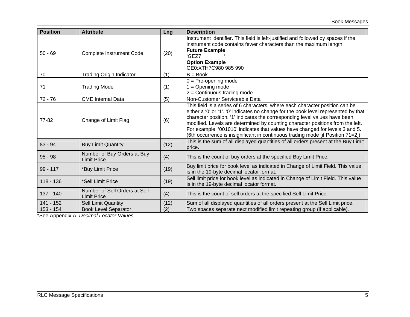| <b>Position</b> | <b>Attribute</b>                                    | <b>Lng</b> | <b>Description</b>                                                                                                                                                                                                                                                                                                                                                                                                                                                                                     |
|-----------------|-----------------------------------------------------|------------|--------------------------------------------------------------------------------------------------------------------------------------------------------------------------------------------------------------------------------------------------------------------------------------------------------------------------------------------------------------------------------------------------------------------------------------------------------------------------------------------------------|
| $50 - 69$       | <b>Complete Instrument Code</b>                     | (20)       | Instrument identifier. This field is left-justified and followed by spaces if the<br>instrument code contains fewer characters than the maximum length.<br><b>Future Example</b><br>'GEZ7<br><b>Option Example</b><br>GE0:XTH7C980 985 990                                                                                                                                                                                                                                                             |
| 70              | <b>Trading Origin Indicator</b>                     | (1)        | $B = Book$                                                                                                                                                                                                                                                                                                                                                                                                                                                                                             |
| 71              | <b>Trading Mode</b>                                 | (1)        | $0 = Pre-opening mode$<br>$1 =$ Opening mode<br>$2 =$ Continuous trading mode                                                                                                                                                                                                                                                                                                                                                                                                                          |
| $72 - 76$       | <b>CME</b> Internal Data                            | (5)        | Non-Customer Serviceable Data                                                                                                                                                                                                                                                                                                                                                                                                                                                                          |
| 77-82           | Change of Limit Flag                                | (6)        | This field is a series of 6 characters, where each character position can be<br>either a '0' or '1'. '0' indicates no change for the book level represented by that<br>character position. '1' indicates the corresponding level values have been<br>modified. Levels are determined by counting character positions from the left.<br>For example, '001010' indicates that values have changed for levels 3 and 5.<br>(6th occurrence is insignificant in continuous trading mode [if Position 71=2]) |
| $83 - 94$       | <b>Buy Limit Quantity</b>                           | (12)       | This is the sum of all displayed quantities of all orders present at the Buy Limit<br>price.                                                                                                                                                                                                                                                                                                                                                                                                           |
| $95 - 98$       | Number of Buy Orders at Buy<br><b>Limit Price</b>   | (4)        | This is the count of buy orders at the specified Buy Limit Price.                                                                                                                                                                                                                                                                                                                                                                                                                                      |
| $99 - 117$      | *Buy Limit Price                                    | (19)       | Buy limit price for book level as indicated in Change of Limit Field. This value<br>is in the 19-byte decimal locator format.                                                                                                                                                                                                                                                                                                                                                                          |
| $118 - 136$     | *Sell Limit Price                                   | (19)       | Sell limit price for book level as indicated in Change of Limit Field. This value<br>is in the 19-byte decimal locator format.                                                                                                                                                                                                                                                                                                                                                                         |
| 137 - 140       | Number of Sell Orders at Sell<br><b>Limit Price</b> | (4)        | This is the count of sell orders at the specified Sell Limit Price.                                                                                                                                                                                                                                                                                                                                                                                                                                    |
| 141 - 152       | <b>Sell Limit Quantity</b>                          | (12)       | Sum of all displayed quantities of all orders present at the Sell Limit price.                                                                                                                                                                                                                                                                                                                                                                                                                         |
| 153 - 154       | <b>Book Level Separator</b>                         | (2)        | Two spaces separate next modified limit repeating group (if applicable).                                                                                                                                                                                                                                                                                                                                                                                                                               |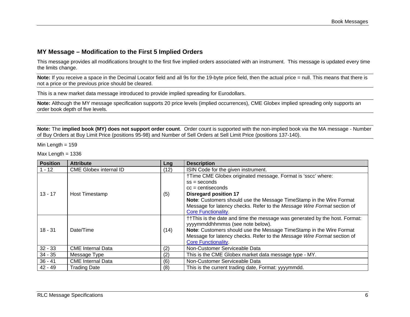### <span id="page-5-0"></span>**MY Message – Modification to the First 5 Implied Orders**

This message provides all modifications brought to the first five implied orders associated with an instrument. This message is updated every time the limits change.

Note: If you receive a space in the Decimal Locator field and all 9s for the 19-byte price field, then the actual price = null. This means that there is not a price or the previous price should be cleared.

This is a new market data message introduced to provide implied spreading for Eurodollars.

**Note:** Although the MY message specification supports 20 price levels (implied occurrences), CME Globex implied spreading only supports an order book depth of five levels.

**Note:** The **implied book (MY) does not support order count**. Order count is supported with the non-implied book via the MA message - Number of Buy Orders at Buy Limit Price (positions 95-98) and Number of Sell Orders at Sell Limit Price (positions 137-140).

Min Length  $= 159$ 

Max Length  $= 1336$ 

| <b>Position</b> | <b>Attribute</b>              | Lng  | <b>Description</b>                                                                                                                                                                                                                                                                                                   |
|-----------------|-------------------------------|------|----------------------------------------------------------------------------------------------------------------------------------------------------------------------------------------------------------------------------------------------------------------------------------------------------------------------|
| $1 - 12$        | <b>CME Globex internal ID</b> | (12) | ISIN Code for the given instrument.                                                                                                                                                                                                                                                                                  |
| $13 - 17$       | Host Timestamp                | (5)  | †Time CME Globex originated message. Format is 'sscc' where:<br>$ss =$ seconds<br>$cc =$ centiseconds<br><b>Disregard position 17</b><br>Note: Customers should use the Message TimeStamp in the Wire Format<br>Message for latency checks. Refer to the Message Wire Format section of<br><b>Core Functionality</b> |
| $18 - 31$       | Date/Time                     | (14) | ††This is the date and time the message was generated by the host. Format:<br>yyyymmddhhmmss (see note below).<br>Note: Customers should use the Message TimeStamp in the Wire Format<br>Message for latency checks. Refer to the Message Wire Format section of<br><b>Core Functionality</b>                        |
| $32 - 33$       | <b>CME</b> Internal Data      | (2)  | Non-Customer Serviceable Data                                                                                                                                                                                                                                                                                        |
| $34 - 35$       | Message Type                  | (2)  | This is the CME Globex market data message type - MY.                                                                                                                                                                                                                                                                |
| $36 - 41$       | <b>CME</b> Internal Data      | (6)  | Non-Customer Serviceable Data                                                                                                                                                                                                                                                                                        |
| $42 - 49$       | <b>Trading Date</b>           | (8)  | This is the current trading date, Format: yyyymmdd.                                                                                                                                                                                                                                                                  |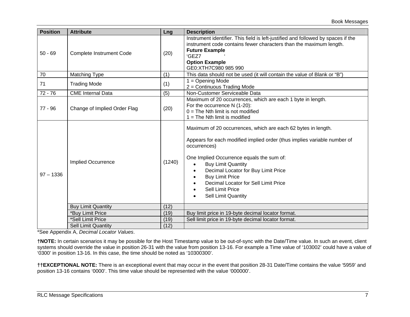| <b>Position</b> | <b>Attribute</b>                | Lng    | <b>Description</b>                                                                                                                                                                                                                                                                                                                                                                                  |
|-----------------|---------------------------------|--------|-----------------------------------------------------------------------------------------------------------------------------------------------------------------------------------------------------------------------------------------------------------------------------------------------------------------------------------------------------------------------------------------------------|
| $50 - 69$       | <b>Complete Instrument Code</b> | (20)   | Instrument identifier. This field is left-justified and followed by spaces if the<br>instrument code contains fewer characters than the maximum length.<br><b>Future Example</b><br>'GEZ7<br><b>Option Example</b><br>GE0:XTH7C980 985 990                                                                                                                                                          |
| 70              | Matching Type                   | (1)    | This data should not be used (it will contain the value of Blank or "B")                                                                                                                                                                                                                                                                                                                            |
| 71              | <b>Trading Mode</b>             | (1)    | $1 =$ Opening Mode<br>2 = Continuous Trading Mode                                                                                                                                                                                                                                                                                                                                                   |
| $72 - 76$       | <b>CME</b> Internal Data        | (5)    | Non-Customer Serviceable Data                                                                                                                                                                                                                                                                                                                                                                       |
| $77 - 96$       | Change of Implied Order Flag    | (20)   | Maximum of 20 occurrences, which are each 1 byte in length.<br>For the occurrence N (1-20):<br>$0 =$ The Nth limit is not modified<br>$1 =$ The Nth limit is modified                                                                                                                                                                                                                               |
| $97 - 1336$     | <b>Implied Occurrence</b>       | (1240) | Maximum of 20 occurrences, which are each 62 bytes in length.<br>Appears for each modified implied order (thus implies variable number of<br>occurrences)<br>One Implied Occurrence equals the sum of:<br><b>Buy Limit Quantity</b><br>Decimal Locator for Buy Limit Price<br><b>Buy Limit Price</b><br>Decimal Locator for Sell Limit Price<br>Sell Limit Price<br><b>Sell Limit Quantity</b><br>٠ |
|                 | <b>Buy Limit Quantity</b>       | (12)   |                                                                                                                                                                                                                                                                                                                                                                                                     |
|                 | *Buy Limit Price                | (19)   | Buy limit price in 19-byte decimal locator format.                                                                                                                                                                                                                                                                                                                                                  |
|                 | *Sell Limit Price               | (19)   | Sell limit price in 19-byte decimal locator format.                                                                                                                                                                                                                                                                                                                                                 |
|                 | <b>Sell Limit Quantity</b>      | (12)   |                                                                                                                                                                                                                                                                                                                                                                                                     |

**†NOTE:** In certain scenarios it may be possible for the Host Timestamp value to be out-of-sync with the Date/Time value. In such an event, client systems should override the value in position 26-31 with the value from position 13-16. For example a Time value of '103002' could have a value of '0300' in position 13-16. In this case, the time should be noted as '10300300'.

**††EXCEPTIONAL NOTE:** There is an exceptional event that may occur in the event that position 28-31 Date/Time contains the value '5959' and position 13-16 contains '0000'. This time value should be represented with the value '000000'.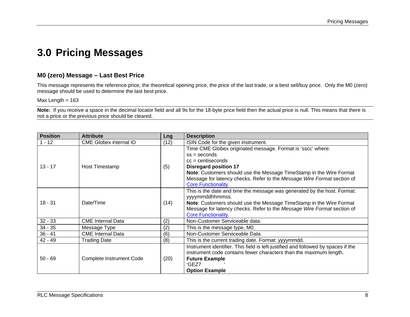## <span id="page-7-0"></span>**3.0 Pricing Messages**

### **M0 (zero) Message – Last Best Price**

This message represents the reference price, the theoretical opening price, the price of the last trade, or a best sell/buy price. Only the M0 (zero) message should be used to determine the last best price.

Max Length  $= 163$ 

**Note:** If you receive a space in the decimal locator field and all 9s for the 18-byte price field then the actual price is null. This means that there is not a price or the previous price should be cleared.

| <b>Position</b> | <b>Attribute</b>                | Lng  | <b>Description</b>                                                                                                                                                                                                                                                                                                  |
|-----------------|---------------------------------|------|---------------------------------------------------------------------------------------------------------------------------------------------------------------------------------------------------------------------------------------------------------------------------------------------------------------------|
| $1 - 12$        | <b>CME Globex internal ID</b>   | (12) | ISIN Code for the given instrument.                                                                                                                                                                                                                                                                                 |
| $13 - 17$       | Host Timestamp                  | (5)  | Time CME Globex originated message. Format is 'sscc' where:<br>$ss =$ seconds<br>$cc =$ centiseconds<br><b>Disregard position 17</b><br>Note: Customers should use the Message TimeStamp in the Wire Format<br>Message for latency checks. Refer to the Message Wire Format section of<br><b>Core Functionality</b> |
| $18 - 31$       | Date/Time                       | (14) | This is the date and time the message was generated by the host. Format:<br>yyyymmddhhmmss.<br>Note: Customers should use the Message TimeStamp in the Wire Format<br>Message for latency checks. Refer to the Message Wire Format section of<br><b>Core Functionality</b>                                          |
| $32 - 33$       | <b>CME Internal Data</b>        | (2)  | Non-Customer Serviceable data.                                                                                                                                                                                                                                                                                      |
| $34 - 35$       | Message Type                    | (2)  | This is the message type, M0.                                                                                                                                                                                                                                                                                       |
| $36 - 41$       | <b>CME</b> Internal Data        | (6)  | Non-Customer Serviceable Data                                                                                                                                                                                                                                                                                       |
| $42 - 49$       | <b>Trading Date</b>             | (8)  | This is the current trading date. Format: yyyymmdd.                                                                                                                                                                                                                                                                 |
| $50 - 69$       | <b>Complete Instrument Code</b> | (20) | Instrument identifier. This field is left-justified and followed by spaces if the<br>instrument code contains fewer characters than the maximum length.<br><b>Future Example</b><br>'GEZ7<br><b>Option Example</b>                                                                                                  |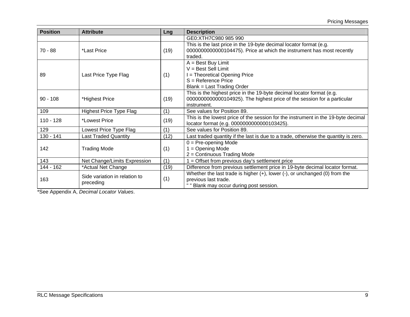| <b>Position</b> | <b>Attribute</b>                           | Lng  | <b>Description</b>                                                                                                                                              |
|-----------------|--------------------------------------------|------|-----------------------------------------------------------------------------------------------------------------------------------------------------------------|
|                 |                                            |      | GE0:XTH7C980 985 990                                                                                                                                            |
| 70 - 88         | *Last Price                                | (19) | This is the last price in the 19-byte decimal locator format (e.g.<br>0000000000000104475). Price at which the instrument has most recently<br>traded.          |
| 89              | Last Price Type Flag                       | (1)  | $A = Best Buy Limit$<br>$V = Best Sell Limit$<br>I = Theoretical Opening Price<br>S = Reference Price<br>Blank = Last Trading Order                             |
| $90 - 108$      | *Highest Price                             | (19) | This is the highest price in the 19-byte decimal locator format (e.g.<br>0000000000000104925). The highest price of the session for a particular<br>instrument. |
| 109             | <b>Highest Price Type Flag</b>             | (1)  | See values for Position 89.                                                                                                                                     |
| $110 - 128$     | *Lowest Price                              | (19) | This is the lowest price of the session for the instrument in the 19-byte decimal<br>locator format (e.g. 0000000000000103425).                                 |
| 129             | Lowest Price Type Flag                     | (1)  | See values for Position 89.                                                                                                                                     |
| 130 - 141       | <b>Last Traded Quantity</b>                | (12) | Last traded quantity if the last is due to a trade, otherwise the quantity is zero.                                                                             |
| 142             | <b>Trading Mode</b>                        | (1)  | $0 = Pre$ -opening Mode<br>$1 =$ Opening Mode<br>2 = Continuous Trading Mode                                                                                    |
| 143             | Net Change/Limits Expression               | (1)  | $1 =$ Offset from previous day's settlement price                                                                                                               |
| 144 - 162       | *Actual Net Change                         | (19) | Difference from previous settlement price in 19-byte decimal locator format.                                                                                    |
| 163             | Side variation in relation to<br>preceding | (1)  | Whether the last trade is higher $(+)$ , lower $(-)$ , or unchanged $(0)$ from the<br>previous last trade.<br>" " Blank may occur during post session.          |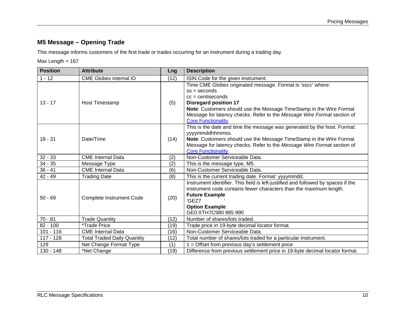### <span id="page-9-0"></span>**M5 Message – Opening Trade**

This message informs customers of the first trade or trades occurring for an instrument during a trading day.

### Max Length = 167

| <b>Position</b> | <b>Attribute</b>                   | Lng                                                                                                                                                                                                                                                | <b>Description</b>                                                                                                                                                                                                                                                                                                  |
|-----------------|------------------------------------|----------------------------------------------------------------------------------------------------------------------------------------------------------------------------------------------------------------------------------------------------|---------------------------------------------------------------------------------------------------------------------------------------------------------------------------------------------------------------------------------------------------------------------------------------------------------------------|
| $1 - 12$        | <b>CME Globex internal ID</b>      | (12)                                                                                                                                                                                                                                               | ISIN Code for the given instrument.                                                                                                                                                                                                                                                                                 |
| $13 - 17$       | <b>Host Timestamp</b>              | (5)                                                                                                                                                                                                                                                | Time CME Globex originated message. Format is 'sscc' where:<br>$ss =$ seconds<br>$cc =$ centiseconds<br><b>Disregard position 17</b><br>Note: Customers should use the Message TimeStamp in the Wire Format<br>Message for latency checks. Refer to the Message Wire Format section of<br><b>Core Functionality</b> |
| $18 - 31$       | Date/Time                          | (14)                                                                                                                                                                                                                                               | This is the date and time the message was generated by the host. Format:<br>yyyymmddhhmmss.<br>Note: Customers should use the Message TimeStamp in the Wire Format<br>Message for latency checks. Refer to the Message Wire Format section of<br><b>Core Functionality</b>                                          |
| $32 - 33$       | <b>CME</b> Internal Data           | (2)                                                                                                                                                                                                                                                | Non-Customer Serviceable Data.                                                                                                                                                                                                                                                                                      |
| $34 - 35$       | Message Type                       | (2)                                                                                                                                                                                                                                                | This is the message type, M5.                                                                                                                                                                                                                                                                                       |
| $36 - 41$       | <b>CME</b> Internal Data           | (6)                                                                                                                                                                                                                                                | Non-Customer Serviceable Data.                                                                                                                                                                                                                                                                                      |
| $42 - 49$       | <b>Trading Date</b>                | (8)                                                                                                                                                                                                                                                | This is the current trading date. Format: yyyymmdd.                                                                                                                                                                                                                                                                 |
| $50 - 69$       | Complete Instrument Code           | Instrument identifier. This field is left-justified and followed by spaces if the<br>instrument code contains fewer characters than the maximum length.<br><b>Future Example</b><br>(20)<br>'GEZ7<br><b>Option Example</b><br>GE0:XTH7C980 985 990 |                                                                                                                                                                                                                                                                                                                     |
| $70 - 81$       | <b>Trade Quantity</b>              | (12)                                                                                                                                                                                                                                               | Number of shares/lots traded.                                                                                                                                                                                                                                                                                       |
| $82 - 100$      | <i>*Trade Price</i>                | (19)                                                                                                                                                                                                                                               | Trade price in 19-byte decimal locator format.                                                                                                                                                                                                                                                                      |
| $101 - 116$     | <b>CME</b> Internal Data           | (16)                                                                                                                                                                                                                                               | Non-Customer Serviceable Data.                                                                                                                                                                                                                                                                                      |
| $117 - 128$     | <b>Total Traded Daily Quantity</b> | (12)                                                                                                                                                                                                                                               | Total number of shares/lots traded for a particular instrument.                                                                                                                                                                                                                                                     |
| 129             | Net Change Format Type             | (1)                                                                                                                                                                                                                                                | $1 =$ Offset from previous day's settlement price                                                                                                                                                                                                                                                                   |
| 130 - 148       | *Net Change                        | (19)                                                                                                                                                                                                                                               | Difference from previous settlement price in 19-byte decimal locator format.                                                                                                                                                                                                                                        |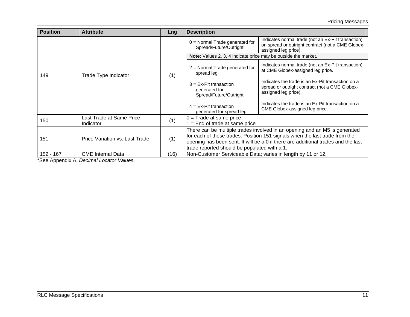| <b>Position</b> | <b>Attribute</b>                      | Lng  | <b>Description</b>                                                  |                                                                                                                                                                                                                                                |
|-----------------|---------------------------------------|------|---------------------------------------------------------------------|------------------------------------------------------------------------------------------------------------------------------------------------------------------------------------------------------------------------------------------------|
|                 |                                       |      | $0 =$ Normal Trade generated for<br>Spread/Future/Outright          | Indicates normal trade (not an Ex-Pit transaction)<br>on spread or outright contract (not a CME Globex-<br>assigned leg price).                                                                                                                |
|                 |                                       |      | Note: Values 2, 3, 4 indicate price may be outside the market.      |                                                                                                                                                                                                                                                |
| 149             | Trade Type Indicator                  | (1)  | $2$ = Normal Trade generated for<br>spread leg                      | Indicates normal trade (not an Ex-Pit transaction)<br>at CME Globex-assigned leg price.                                                                                                                                                        |
|                 |                                       |      | $3 = Ex-Pit$ transaction<br>generated for<br>Spread/Future/Outright | Indicates the trade is an Ex-Pit transaction on a<br>spread or outright contract (not a CME Globex-<br>assigned leg price).                                                                                                                    |
|                 |                                       |      | $4 = Ex-Pit$ transaction<br>generated for spread leg                | Indicates the trade is an Ex-Pit transaction on a<br>CME Globex-assigned leg price.                                                                                                                                                            |
| 150             | Last Trade at Same Price<br>Indicator | (1)  | $0 =$ Trade at same price<br>$1 =$ End of trade at same price       |                                                                                                                                                                                                                                                |
| 151             | Price Variation vs. Last Trade        | (1)  | trade reported should be populated with a 1.                        | There can be multiple trades involved in an opening and an M5 is generated<br>for each of these trades. Position 151 signals when the last trade from the<br>opening has been sent. It will be a 0 if there are additional trades and the last |
| 152 - 167       | <b>CME</b> Internal Data              | (16) | Non-Customer Serviceable Data; varies in length by 11 or 12.        |                                                                                                                                                                                                                                                |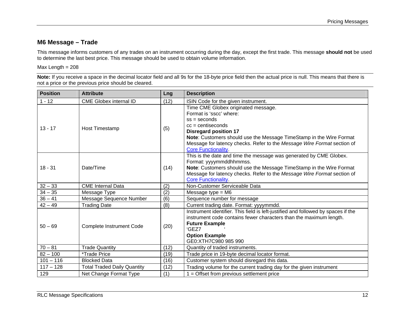### <span id="page-11-0"></span>**M6 Message – Trade**

This message informs customers of any trades on an instrument occurring during the day, except the first trade. This message **should not** be used to determine the last best price. This message should be used to obtain volume information.

#### Max Length = 208

**Note:** If you receive a space in the decimal locator field and all 9s for the 18-byte price field then the actual price is null. This means that there is not a price or the previous price should be cleared.

| <b>Position</b> | <b>Attribute</b>                   | Lng  | <b>Description</b>                                                                             |  |
|-----------------|------------------------------------|------|------------------------------------------------------------------------------------------------|--|
| $1 - 12$        | <b>CME Globex internal ID</b>      | (12) | ISIN Code for the given instrument.                                                            |  |
|                 |                                    |      | Time CME Globex originated message.                                                            |  |
|                 |                                    |      | Format is 'sscc' where:                                                                        |  |
|                 |                                    |      | $ss =$ seconds                                                                                 |  |
| $13 - 17$       | <b>Host Timestamp</b>              | (5)  | $cc =$ centiseconds                                                                            |  |
|                 |                                    |      | <b>Disregard position 17</b>                                                                   |  |
|                 |                                    |      | Note: Customers should use the Message TimeStamp in the Wire Format                            |  |
|                 |                                    |      | Message for latency checks. Refer to the Message Wire Format section of                        |  |
|                 |                                    |      | <b>Core Functionality.</b>                                                                     |  |
|                 |                                    |      | This is the date and time the message was generated by CME Globex.                             |  |
| $18 - 31$       | Date/Time                          | (14) | Format: yyyymmddhhmmss.<br>Note: Customers should use the Message TimeStamp in the Wire Format |  |
|                 |                                    |      | Message for latency checks. Refer to the Message Wire Format section of                        |  |
|                 |                                    |      | <b>Core Functionality.</b>                                                                     |  |
| $32 - 33$       | <b>CME</b> Internal Data           | (2)  | Non-Customer Serviceable Data                                                                  |  |
| $34 - 35$       | Message Type                       | (2)  | Message type $= M6$                                                                            |  |
| $36 - 41$       | Message Sequence Number            | (6)  | Sequence number for message                                                                    |  |
| $42 - 49$       | <b>Trading Date</b>                | (8)  | Current trading date. Format: yyyymmdd.                                                        |  |
|                 |                                    |      | Instrument identifier. This field is left-justified and followed by spaces if the              |  |
|                 |                                    |      | instrument code contains fewer characters than the maximum length.                             |  |
| $50 - 69$       | <b>Complete Instrument Code</b>    | (20) | <b>Future Example</b>                                                                          |  |
|                 |                                    |      | 'GEZ7                                                                                          |  |
|                 |                                    |      | <b>Option Example</b>                                                                          |  |
|                 |                                    |      | GE0:XTH7C980 985 990                                                                           |  |
| $70 - 81$       | <b>Trade Quantity</b>              | (12) | Quantity of traded instruments.                                                                |  |
| $82 - 100$      | *Trade Price                       | (19) | Trade price in 19-byte decimal locator format.                                                 |  |
| $101 - 116$     | <b>Blocked Data</b>                | (16) | Customer system should disregard this data.                                                    |  |
| $117 - 128$     | <b>Total Traded Daily Quantity</b> | (12) | Trading volume for the current trading day for the given instrument                            |  |
| 129             | Net Change Format Type             | (1)  | $1 =$ Offset from previous settlement price                                                    |  |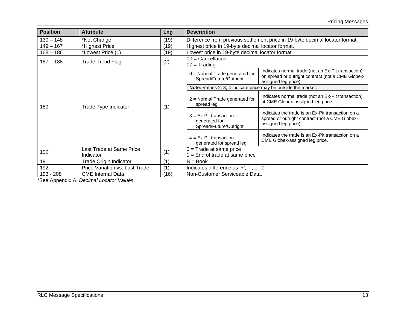| <b>Position</b> | <b>Attribute</b>                      | Lng  | <b>Description</b>                                                           |                                                                                                                                 |
|-----------------|---------------------------------------|------|------------------------------------------------------------------------------|---------------------------------------------------------------------------------------------------------------------------------|
| $130 - 148$     | *Net Change                           | (19) | Difference from previous settlement price in 19-byte decimal locator format. |                                                                                                                                 |
| $149 - 167$     | *Highest Price                        | (19) | Highest price in 19-byte decimal locator format.                             |                                                                                                                                 |
| $168 - 186$     | *Lowest Price (1)                     | (19) | Lowest price in 19-byte decimal locator format.                              |                                                                                                                                 |
| $187 - 188$     | <b>Trade Trend Flag</b>               | (2)  | $00 =$ Cancellation<br>$07 =$ Trading                                        |                                                                                                                                 |
|                 | Trade Type Indicator                  |      | $0 =$ Normal Trade generated for<br>Spread/Future/Outright                   | Indicates normal trade (not an Ex-Pit transaction)<br>on spread or outright contract (not a CME Globex-<br>assigned leg price). |
|                 |                                       |      | Note: Values 2, 3, 4 indicate price may be outside the market.               |                                                                                                                                 |
| 189             |                                       | (1)  | $2$ = Normal Trade generated for<br>spread leg                               | Indicates normal trade (not an Ex-Pit transaction)<br>at CME Globex-assigned leg price.                                         |
|                 |                                       |      | $3 = Ex-Pit$ transaction<br>generated for<br>Spread/Future/Outright          | Indicates the trade is an Ex-Pit transaction on a<br>spread or outright contract (not a CME Globex-<br>assigned leg price).     |
|                 |                                       |      | $4 = Ex-Pit$ transaction<br>generated for spread leg                         | Indicates the trade is an Ex-Pit transaction on a<br>CME Globex-assigned leg price.                                             |
| 190             | Last Trade at Same Price<br>Indicator | (1)  | $0 =$ Trade at same price<br>$1 =$ End of trade at same price                |                                                                                                                                 |
| 191             | Trade Origin Indicator                | (1)  | $B = Book$                                                                   |                                                                                                                                 |
| 192             | Price Variation vs. Last Trade        | (1)  | Indicates difference as '+', '-', or '0'                                     |                                                                                                                                 |
| 193 - 208       | <b>CME</b> Internal Data              | (16) | Non-Customer Serviceable Data.                                               |                                                                                                                                 |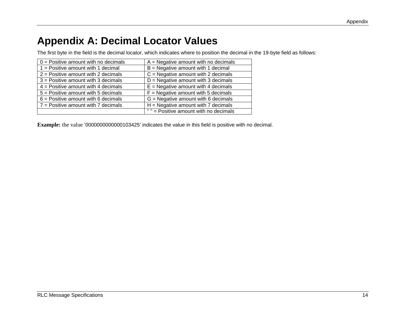# <span id="page-13-0"></span>**Appendix A: Decimal Locator Values**

The first byte in the field is the decimal locator, which indicates where to position the decimal in the 19-byte field as follows:

| $0 =$ Positive amount with no decimals  | $A = Negative amount with no decimals$ |
|-----------------------------------------|----------------------------------------|
| $1 =$ Positive amount with 1 decimal    | $B =$ Negative amount with 1 decimal   |
| $2$ = Positive amount with 2 decimals   | $C =$ Negative amount with 2 decimals  |
| $3$ = Positive amount with 3 decimals   | $D =$ Negative amount with 3 decimals  |
| $4$ = Positive amount with 4 decimals   | $E =$ Negative amount with 4 decimals  |
| $5 =$ Positive amount with 5 decimals   | $F =$ Negative amount with 5 decimals  |
| $6$ = Positive amount with 6 decimals   | $G =$ Negative amount with 6 decimals  |
| $7$ = Positive amount with $7$ decimals | $H =$ Negative amount with 7 decimals  |
|                                         | " " = Positive amount with no decimals |

**Example:** the value '0000000000000103425' indicates the value in this field is positive with no decimal.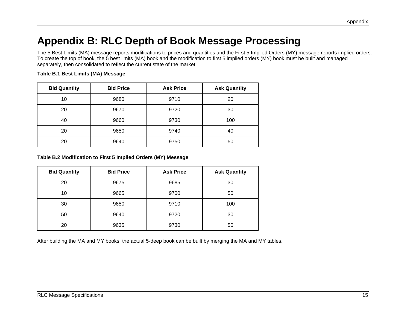# <span id="page-14-0"></span>**Appendix B: RLC Depth of Book Message Processing**

The 5 Best Limits (MA) message reports modifications to prices and quantities and the First 5 Implied Orders (MY) message reports implied orders. To create the top of book, the 5 best limits (MA) book and the modification to first 5 implied orders (MY) book must be built and managed separately, then consolidated to reflect the current state of the market.

### **Table B.1 Best Limits (MA) Message**

| <b>Bid Quantity</b> | <b>Bid Price</b> | <b>Ask Price</b> | <b>Ask Quantity</b> |
|---------------------|------------------|------------------|---------------------|
| 10                  | 9680             | 9710             | 20                  |
| 20                  | 9670             | 9720             | 30                  |
| 40                  | 9660             | 9730             | 100                 |
| 20                  | 9650             | 9740             | 40                  |
| 20                  | 9640             | 9750             | 50                  |

#### **Table B.2 Modification to First 5 Implied Orders (MY) Message**

| <b>Bid Quantity</b> | <b>Bid Price</b> | <b>Ask Price</b> | <b>Ask Quantity</b> |
|---------------------|------------------|------------------|---------------------|
| 20                  | 9675             | 9685             | 30                  |
| 10                  | 9665             | 9700             | 50                  |
| 30                  | 9650             | 9710             | 100                 |
| 50                  | 9640             | 9720             | 30                  |
| 20                  | 9635             | 9730             | 50                  |

After building the MA and MY books, the actual 5-deep book can be built by merging the MA and MY tables.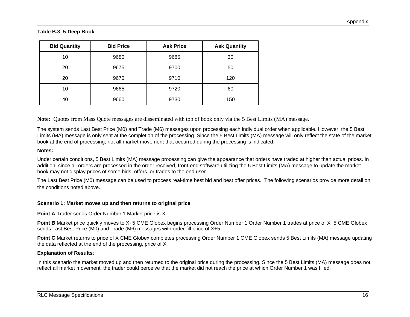#### **Table B.3 5-Deep Book**

| <b>Bid Quantity</b> | <b>Bid Price</b> | <b>Ask Price</b> | <b>Ask Quantity</b> |
|---------------------|------------------|------------------|---------------------|
| 10                  | 9680             | 9685             | 30                  |
| 20                  | 9675             | 9700             | 50                  |
| 20                  | 9670             | 9710             | 120                 |
| 10                  | 9665             | 9720             | 60                  |
| 40                  | 9660             | 9730             | 150                 |

**Note:** Quotes from Mass Quote messages are disseminated with top of book only via the 5 Best Limits (MA) message.

The system sends Last Best Price (M0) and Trade (M6) messages upon processing each individual order when applicable. However, the 5 Best Limits (MA) message is only sent at the completion of the processing. Since the 5 Best Limits (MA) message will only reflect the state of the market book at the end of processing, not all market movement that occurred during the processing is indicated.

#### **Notes:**

Under certain conditions, 5 Best Limits (MA) message processing can give the appearance that orders have traded at higher than actual prices. In addition, since all orders are processed in the order received, front-end software utilizing the 5 Best Limits (MA) message to update the market book may not display prices of some bids, offers, or trades to the end user.

The Last Best Price (M0) message can be used to process real-time best bid and best offer prices. The following scenarios provide more detail on the conditions noted above.

### **Scenario 1: Market moves up and then returns to original price**

**Point A** Trader sends Order Number 1 Market price is X

**Point B** Market price quickly moves to X+5 CME Globex begins processing Order Number 1 Order Number 1 trades at price of X+5 CME Globex sends Last Best Price (M0) and Trade (M6) messages with order fill price of X+5

**Point C** Market returns to price of X CME Globex completes processing Order Number 1 CME Globex sends 5 Best Limits (MA) message updating the data reflected at the end of the processing, price of X

### **Explanation of Results**:

In this scenario the market moved up and then returned to the original price during the processing. Since the 5 Best Limits (MA) message does not reflect all market movement, the trader could perceive that the market did not reach the price at which Order Number 1 was filled.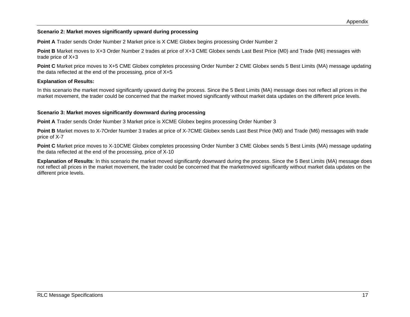### **Scenario 2: Market moves significantly upward during processing**

**Point A** Trader sends Order Number 2 Market price is X CME Globex begins processing Order Number 2

**Point B** Market moves to X+3 Order Number 2 trades at price of X+3 CME Globex sends Last Best Price (M0) and Trade (M6) messages with trade price of X+3

**Point C** Market price moves to X+5 CME Globex completes processing Order Number 2 CME Globex sends 5 Best Limits (MA) message updating the data reflected at the end of the processing, price of X+5

### **Explanation of Results:**

In this scenario the market moved significantly upward during the process. Since the 5 Best Limits (MA) message does not reflect all prices in the market movement, the trader could be concerned that the market moved significantly without market data updates on the different price levels.

### **Scenario 3: Market moves significantly downward during processing**

**Point A** Trader sends Order Number 3 Market price is XCME Globex begins processing Order Number 3

Point B Market moves to X-7Order Number 3 trades at price of X-7CME Globex sends Last Best Price (M0) and Trade (M6) messages with trade price of X-7

**Point C** Market price moves to X-10CME Globex completes processing Order Number 3 CME Globex sends 5 Best Limits (MA) message updating the data reflected at the end of the processing, price of X-10

**Explanation of Results**: In this scenario the market moved significantly downward during the process. Since the 5 Best Limits (MA) message does not reflect all prices in the market movement, the trader could be concerned that the marketmoved significantly without market data updates on the different price levels.